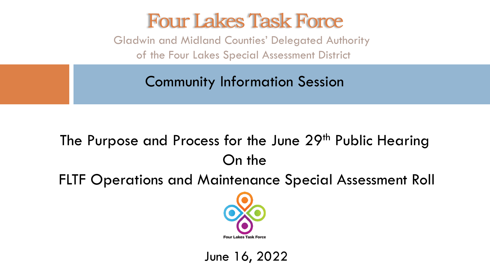#### Four Lakes Task Force

Gladwin and Midland Counties' Delegated Authority of the Four Lakes Special Assessment District

Community Information Session

#### The Purpose and Process for the June 29<sup>th</sup> Public Hearing On the

FLTF Operations and Maintenance Special Assessment Roll



June 16, 2022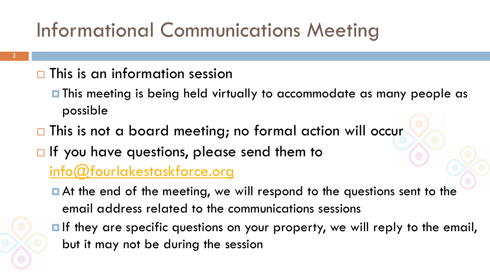# Informational Communications Meeting

#### $\Box$  This is an information session

- $\blacksquare$  This meeting is being held virtually to accommodate as many people as possible
- $\Box$  This is not a board meeting; no formal action will occur
- $\Box$  If you have questions, please send them to

#### [info@fourlakestaskforce.org](mailto:info@fourlakestaskforce.org)

- At the end of the meeting, we will respond to the questions sent to the email address related to the communications sessions
- **If they are specific questions on your property, we will reply to the email,** but it may not be during the session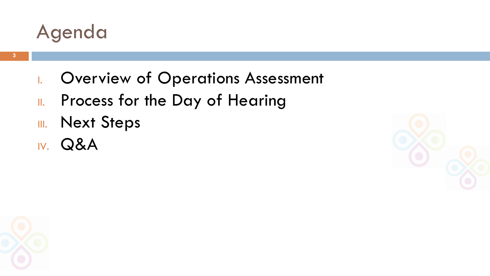

- I. Overview of Operations Assessment
- II. Process for the Day of Hearing
- III. Next Steps
- IV. Q&A



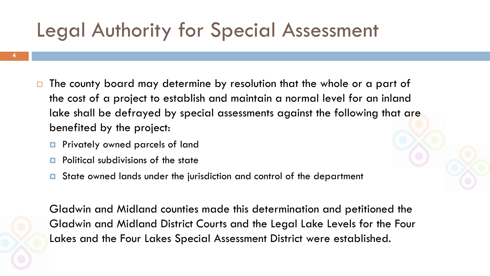### Legal Authority for Special Assessment

- $\Box$  The county board may determine by resolution that the whole or a part of the cost of a project to establish and maintain a normal level for an inland lake shall be defrayed by special assessments against the following that are benefited by the project:
	- **Privately owned parcels of land**
	- $\Box$  Political subdivisions of the state
	- State owned lands under the jurisdiction and control of the department

Gladwin and Midland counties made this determination and petitioned the Gladwin and Midland District Courts and the Legal Lake Levels for the Four Lakes and the Four Lakes Special Assessment District were established.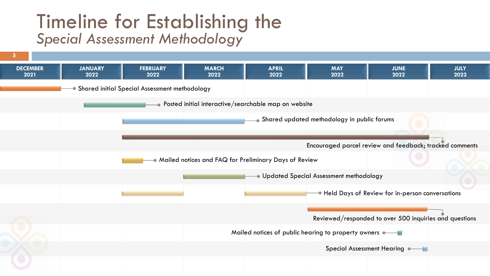#### Timeline for Establishing the *Special Assessment Methodology*

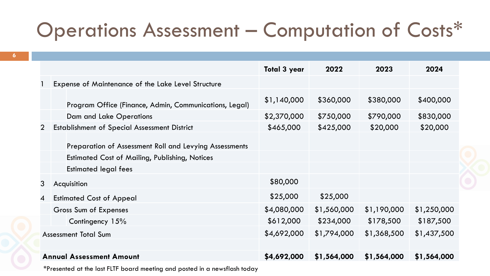## Operations Assessment – Computation of Costs\*

|                |                                                        | <b>Total 3 year</b> | 2022        | 2023        | 2024        |
|----------------|--------------------------------------------------------|---------------------|-------------|-------------|-------------|
|                | Expense of Maintenance of the Lake Level Structure     |                     |             |             |             |
|                | Program Office (Finance, Admin, Communications, Legal) | \$1,140,000         | \$360,000   | \$380,000   | \$400,000   |
|                | Dam and Lake Operations                                | \$2,370,000         | \$750,000   | \$790,000   | \$830,000   |
| $\overline{2}$ | <b>Establishment of Special Assessment District</b>    | \$465,000           | \$425,000   | \$20,000    | \$20,000    |
|                | Preparation of Assessment Roll and Levying Assessments |                     |             |             |             |
|                | <b>Estimated Cost of Mailing, Publishing, Notices</b>  |                     |             |             |             |
|                | <b>Estimated legal fees</b>                            |                     |             |             |             |
| 3              | Acquisition                                            | \$80,000            |             |             |             |
| 4              | <b>Estimated Cost of Appeal</b>                        | \$25,000            | \$25,000    |             |             |
|                | Gross Sum of Expenses                                  | \$4,080,000         | \$1,560,000 | \$1,190,000 | \$1,250,000 |
|                | Contingency 15%                                        | \$612,000           | \$234,000   | \$178,500   | \$187,500   |
|                | <b>Assessment Total Sum</b>                            | \$4,692,000         | \$1,794,000 | \$1,368,500 | \$1,437,500 |
|                |                                                        |                     |             |             |             |
|                | <b>Annual Assessment Amount</b>                        | \$4,692,000         | \$1,564,000 | \$1,564,000 | \$1,564,000 |

\*Presented at the last FLTF board meeting and posted in a newsflash today

**6**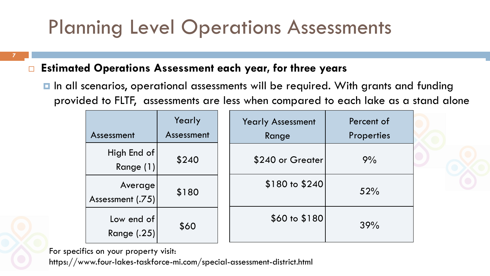## Planning Level Operations Assessments

**7**

#### **Estimated Operations Assessment each year, for three years**

■ In all scenarios, operational assessments will be required. With grants and funding provided to FLTF, assessments are less when compared to each lake as a stand alone

| Assessment                       | Yearly<br>Assessment | <b>Yearly Assessment</b><br>Range | Percent of<br>Properties |
|----------------------------------|----------------------|-----------------------------------|--------------------------|
| High End of<br>Range (1)         | \$240                | \$240 or Greater                  | 9%                       |
| Average<br>Assessment (.75)      | \$180                | \$180 to \$240                    | 52%                      |
| Low end of<br><b>Range (.25)</b> | \$60                 | \$60 to \$180                     | 39%                      |

For specifics on your property visit:

https://www.four-lakes-taskforce-mi.com/special-assessment-district.html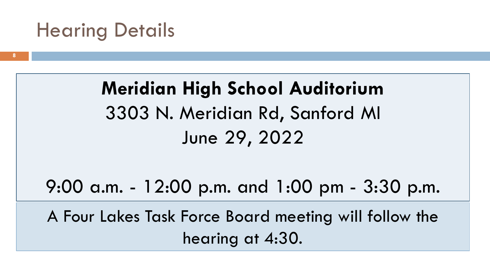#### Hearing Details

**Meridian High School Auditorium** 3303 N. Meridian Rd, Sanford MI June 29, 2022

9:00 a.m. - 12:00 p.m. and 1:00 pm - 3:30 p.m.

A Four Lakes Task Force Board meeting will follow the hearing at 4:30.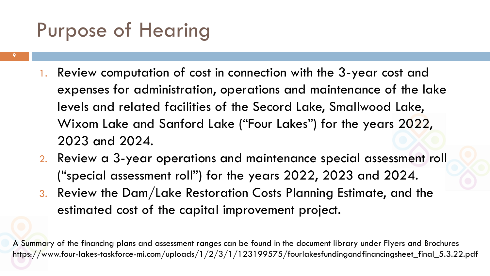### Purpose of Hearing

- **9**
- 1. Review computation of cost in connection with the 3-year cost and expenses for administration, operations and maintenance of the lake levels and related facilities of the Secord Lake, Smallwood Lake, Wixom Lake and Sanford Lake ("Four Lakes") for the years 2022, 2023 and 2024.
- 2. Review a 3-year operations and maintenance special assessment roll ("special assessment roll") for the years 2022, 2023 and 2024.
- 3. Review the Dam/Lake Restoration Costs Planning Estimate, and the estimated cost of the capital improvement project.

A Summary of the financing plans and assessment ranges can be found in the document library under Flyers and Brochures https://www.four-lakes-taskforce-mi.com/uploads/1/2/3/1/123199575/fourlakesfundingandfinancingsheet\_final\_5.3.22.pdf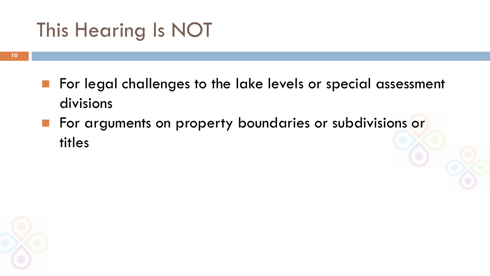## This Hearing Is NOT

- For legal challenges to the lake levels or special assessment divisions
- For arguments on property boundaries or subdivisions or titles

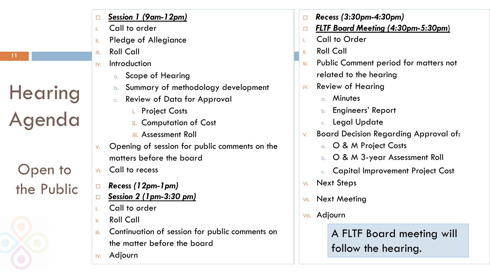- Call to order
- II. Pledge of Allegiance
- III. Roll Call
- IV. Introduction
	- a. Scope of Hearing
	- b. Summary of methodology development
	- c. Review of Data for Approval
		- **Project Costs**
		- **Computation of Cost**
		- iii. Assessment Roll
- $\vee$ . Opening of session for public comments on the matters before the board
- VI. Call to recess
- *Recess (12pm-1pm)*
- *Session 2 (1pm-3:30 pm)*
- Call to order
- II. Roll Call
- III. Continuation of session for public comments on the matter before the board
- IV. Adjourn
- *Recess (3:30pm-4:30pm)*
- *FLTF Board Meeting (4:30pm-5:30pm*)
- I. Call to Order
- II. Roll Call
- **III.** Public Comment period for matters not related to the hearing
- IV. Review of Hearing
	- a. Minutes
	- b. Engineers' Report
	- c. Legal Update
- V. Board Decision Regarding Approval of:
	- a. O & M Project Costs
	- b. O & M 3-year Assessment Roll
	- c. Capital Improvement Project Cost
- VI. Next Steps
- **VII.** Next Meeting
- VIII. Adjourn

A FLTF Board meeting will follow the hearing.

**Hearing** 

Agenda

Open to

the Public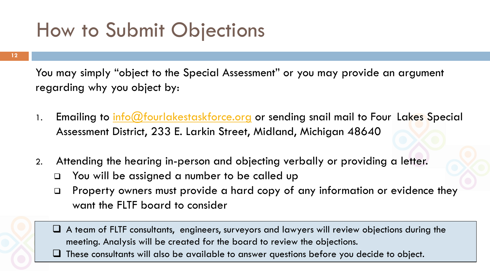#### How to Submit Objections

You may simply "object to the Special Assessment" or you may provide an argument regarding why you object by:

- 1. Emailing to [info@fourlakestaskforce.org](mailto:info@fourlakestaskforce.org) or sending snail mail to Four Lakes Special Assessment District, 233 E. Larkin Street, Midland, Michigan 48640
- 2. Attending the hearing in-person and objecting verbally or providing a letter.
	- ❑ You will be assigned a number to be called up
	- ❑ Property owners must provide a hard copy of any information or evidence they want the FLTF board to consider
	- ❑ A team of FLTF consultants, engineers, surveyors and lawyers will review objections during the meeting. Analysis will be created for the board to review the objections. ❑ These consultants will also be available to answer questions before you decide to object.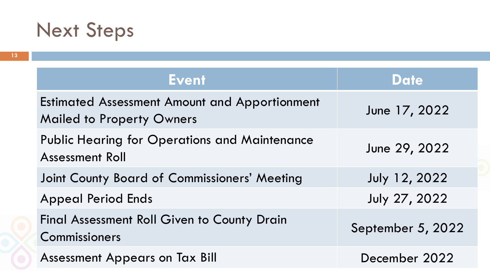# Next Steps

| <b>Event</b>                                                                             | <b>Date</b>          |
|------------------------------------------------------------------------------------------|----------------------|
| <b>Estimated Assessment Amount and Apportionment</b><br><b>Mailed to Property Owners</b> | June 17, 2022        |
| <b>Public Hearing for Operations and Maintenance</b><br><b>Assessment Roll</b>           | June 29, 2022        |
| Joint County Board of Commissioners' Meeting                                             | <b>July 12, 2022</b> |
| <b>Appeal Period Ends</b>                                                                | <b>July 27, 2022</b> |
| <b>Final Assessment Roll Given to County Drain</b><br>Commissioners                      | September 5, 2022    |
| <b>Assessment Appears on Tax Bill</b>                                                    | December 2022        |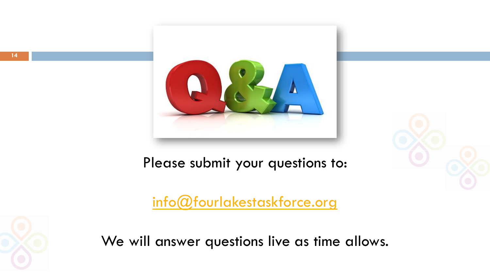

Please submit your questions to:

[info@fourlakestaskforce.org](mailto:info@fourlakestaskforce.org)



We will answer questions live as time allows.